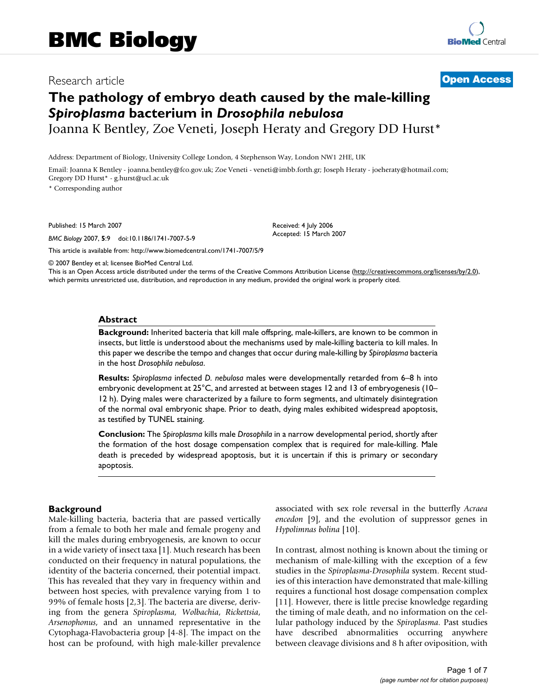# Research article **[Open Access](http://www.biomedcentral.com/info/about/charter/)**

# **The pathology of embryo death caused by the male-killing**  *Spiroplasma* **bacterium in** *Drosophila nebulosa*

Joanna K Bentley, Zoe Veneti, Joseph Heraty and Gregory DD Hurst\*

Address: Department of Biology, University College London, 4 Stephenson Way, London NW1 2HE, UK

Email: Joanna K Bentley - joanna.bentley@fco.gov.uk; Zoe Veneti - veneti@imbb.forth.gr; Joseph Heraty - joeheraty@hotmail.com; Gregory DD Hurst\* - g.hurst@ucl.ac.uk

\* Corresponding author

Published: 15 March 2007

*BMC Biology* 2007, **5**:9 doi:10.1186/1741-7007-5-9

[This article is available from: http://www.biomedcentral.com/1741-7007/5/9](http://www.biomedcentral.com/1741-7007/5/9)

© 2007 Bentley et al; licensee BioMed Central Ltd.

This is an Open Access article distributed under the terms of the Creative Commons Attribution License [\(http://creativecommons.org/licenses/by/2.0\)](http://creativecommons.org/licenses/by/2.0), which permits unrestricted use, distribution, and reproduction in any medium, provided the original work is properly cited.

Received: 4 July 2006 Accepted: 15 March 2007

#### **Abstract**

**Background:** Inherited bacteria that kill male offspring, male-killers, are known to be common in insects, but little is understood about the mechanisms used by male-killing bacteria to kill males. In this paper we describe the tempo and changes that occur during male-killing by *Spiroplasma* bacteria in the host *Drosophila nebulosa*.

**Results:** *Spiroplasma* infected *D. nebulosa* males were developmentally retarded from 6–8 h into embryonic development at 25°C, and arrested at between stages 12 and 13 of embryogenesis (10– 12 h). Dying males were characterized by a failure to form segments, and ultimately disintegration of the normal oval embryonic shape. Prior to death, dying males exhibited widespread apoptosis, as testified by TUNEL staining.

**Conclusion:** The *Spiroplasma* kills male *Drosophila* in a narrow developmental period, shortly after the formation of the host dosage compensation complex that is required for male-killing. Male death is preceded by widespread apoptosis, but it is uncertain if this is primary or secondary apoptosis.

# **Background**

Male-killing bacteria, bacteria that are passed vertically from a female to both her male and female progeny and kill the males during embryogenesis, are known to occur in a wide variety of insect taxa [1]. Much research has been conducted on their frequency in natural populations, the identity of the bacteria concerned, their potential impact. This has revealed that they vary in frequency within and between host species, with prevalence varying from 1 to 99% of female hosts [2,3]. The bacteria are diverse, deriving from the genera *Spiroplasma, Wolbachia*, *Rickettsia*, *Arsenophonus*, and an unnamed representative in the Cytophaga-Flavobacteria group [4-8]. The impact on the host can be profound, with high male-killer prevalence associated with sex role reversal in the butterfly *Acraea encedon* [9], and the evolution of suppressor genes in *Hypolimnas bolina* [10].

In contrast, almost nothing is known about the timing or mechanism of male-killing with the exception of a few studies in the *Spiroplasma*-*Drosophila* system. Recent studies of this interaction have demonstrated that male-killing requires a functional host dosage compensation complex [11]. However, there is little precise knowledge regarding the timing of male death, and no information on the cellular pathology induced by the *Spiroplasma*. Past studies have described abnormalities occurring anywhere between cleavage divisions and 8 h after oviposition, with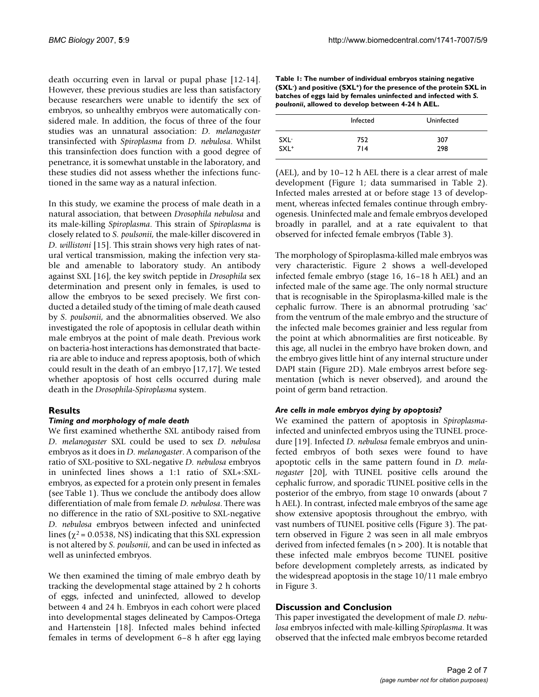death occurring even in larval or pupal phase [12-14]. However, these previous studies are less than satisfactory because researchers were unable to identify the sex of embryos, so unhealthy embryos were automatically considered male. In addition, the focus of three of the four studies was an unnatural association: *D. melanogaster* transinfected with *Spiroplasma* from *D. nebulosa*. Whilst this transinfection does function with a good degree of penetrance, it is somewhat unstable in the laboratory, and these studies did not assess whether the infections functioned in the same way as a natural infection.

In this study, we examine the process of male death in a natural association, that between *Drosophila nebulosa* and its male-killing *Spiroplasma*. This strain of *Spiroplasma* is closely related to *S. poulsonii*, the male-killer discovered in *D. willistoni* [15]. This strain shows very high rates of natural vertical transmission, making the infection very stable and amenable to laboratory study. An antibody against SXL [16], the key switch peptide in *Drosophila* sex determination and present only in females, is used to allow the embryos to be sexed precisely. We first conducted a detailed study of the timing of male death caused by *S. poulsonii*, and the abnormalities observed. We also investigated the role of apoptosis in cellular death within male embryos at the point of male death. Previous work on bacteria-host interactions has demonstrated that bacteria are able to induce and repress apoptosis, both of which could result in the death of an embryo [17,17]. We tested whether apoptosis of host cells occurred during male death in the *Drosophila*-*Spiroplasma* system.

# **Results**

#### *Timing and morphology of male death*

We first examined whetherthe SXL antibody raised from *D. melanogaster* SXL could be used to sex *D. nebulosa* embryos as it does in *D. melanogaster*. A comparison of the ratio of SXL-positive to SXL-negative *D. nebulosa* embryos in uninfected lines shows a 1:1 ratio of SXL+:SXLembryos, as expected for a protein only present in females (see Table 1). Thus we conclude the antibody does allow differentiation of male from female *D. nebulosa*. There was no difference in the ratio of SXL-positive to SXL-negative *D. nebulosa* embryos between infected and uninfected lines ( $\chi^2$  = 0.0538, NS) indicating that this SXL expression is not altered by *S. poulsonii*, and can be used in infected as well as uninfected embryos.

We then examined the timing of male embryo death by tracking the developmental stage attained by 2 h cohorts of eggs, infected and uninfected, allowed to develop between 4 and 24 h. Embryos in each cohort were placed into developmental stages delineated by Campos-Ortega and Hartenstein [18]. Infected males behind infected females in terms of development 6–8 h after egg laying

| Table 1: The number of individual embryos staining negative                                 |
|---------------------------------------------------------------------------------------------|
| (SXL <sup>-</sup> ) and positive (SXL <sup>+</sup> ) for the presence of the protein SXL in |
| batches of eggs laid by females uninfected and infected with S.                             |
| poulsonii, allowed to develop between 4-24 h AEL.                                           |

|                    | Infected | Uninfected |  |
|--------------------|----------|------------|--|
| SXL-               | 752      | 307        |  |
| $SXL$ <sup>+</sup> | 714      | 298        |  |

(AEL), and by 10–12 h AEL there is a clear arrest of male development (Figure 1; data summarised in Table 2). Infected males arrested at or before stage 13 of development, whereas infected females continue through embryogenesis. Uninfected male and female embryos developed broadly in parallel, and at a rate equivalent to that observed for infected female embryos (Table 3).

The morphology of Spiroplasma-killed male embryos was very characteristic. Figure 2 shows a well-developed infected female embryo (stage 16, 16–18 h AEL) and an infected male of the same age. The only normal structure that is recognisable in the Spiroplasma-killed male is the cephalic furrow. There is an abnormal protruding 'sac' from the ventrum of the male embryo and the structure of the infected male becomes grainier and less regular from the point at which abnormalities are first noticeable. By this age, all nuclei in the embryo have broken down, and the embryo gives little hint of any internal structure under DAPI stain (Figure 2D). Male embryos arrest before segmentation (which is never observed), and around the point of germ band retraction.

#### *Are cells in male embryos dying by apoptosis?*

We examined the pattern of apoptosis in *Spiroplasma*infected and uninfected embryos using the TUNEL procedure [19]. Infected *D. nebulosa* female embryos and uninfected embryos of both sexes were found to have apoptotic cells in the same pattern found in *D. melanogaster* [\[20](#page-6-0)], with TUNEL positive cells around the cephalic furrow, and sporadic TUNEL positive cells in the posterior of the embryo, from stage 10 onwards (about 7 h AEL). In contrast, infected male embryos of the same age show extensive apoptosis throughout the embryo, with vast numbers of TUNEL positive cells (Figure 3). The pattern observed in Figure 2 was seen in all male embryos derived from infected females (n > 200). It is notable that these infected male embryos become TUNEL positive before development completely arrests, as indicated by the widespread apoptosis in the stage 10/11 male embryo in Figure 3.

#### **Discussion and Conclusion**

This paper investigated the development of male *D. nebulosa* embryos infected with male-killing *Spiroplasma*. It was observed that the infected male embryos become retarded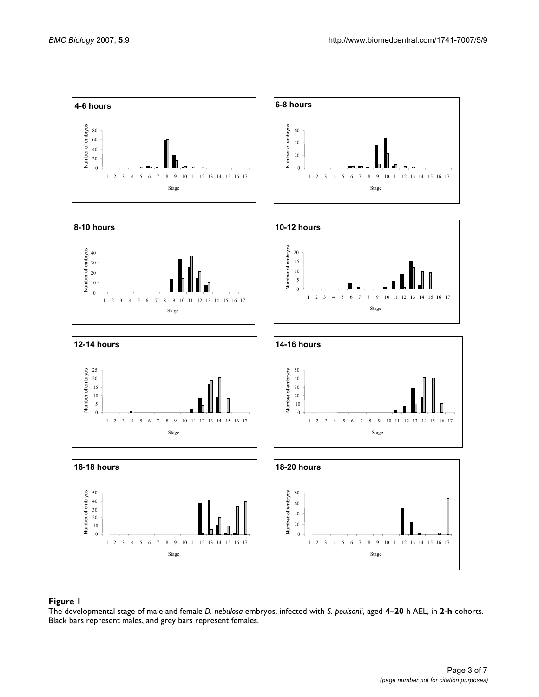

#### The developmental stage of male and female **Figure 1** *D. nebulosa* embryos, infected with *S. poulsonii*, aged **4–20** h AEL, in **2-h** cohorts

The developmental stage of male and female *D. nebulosa* embryos, infected with *S. poulsonii*, aged **4–20** h AEL, in **2-h** cohorts. Black bars represent males, and grey bars represent females.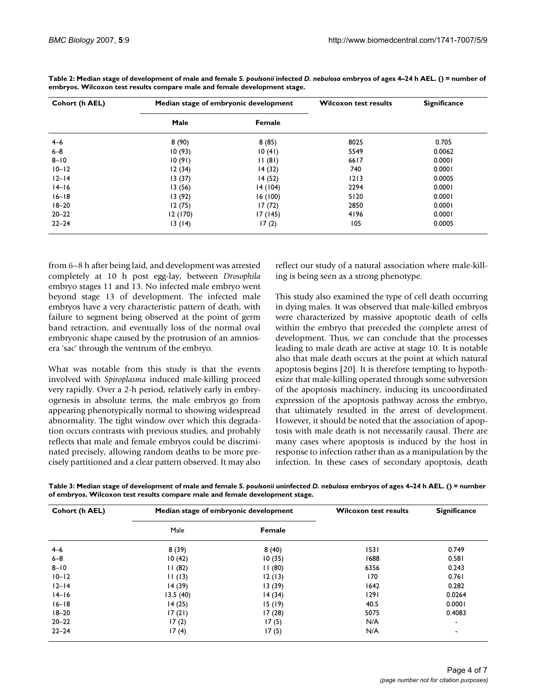| Cohort (h AEL) | Median stage of embryonic development |         | <b>Wilcoxon test results</b> | <b>Significance</b> |
|----------------|---------------------------------------|---------|------------------------------|---------------------|
|                | Male                                  | Female  |                              |                     |
| $4 - 6$        | 8(90)                                 | 8(85)   | 8025                         | 0.705               |
| $6 - 8$        | 10(93)                                | 10(41)  | 5549                         | 0.0062              |
| $8 - 10$       | 10(91)                                | 11(81)  | 6617                         | 0.0001              |
| $10 - 12$      | 12(34)                                | 14(32)  | 740                          | 0.0001              |
| $12-14$        | 13(37)                                | 14(52)  | 1213                         | 0.0005              |
| $14 - 16$      | 13(56)                                | 14(104) | 2294                         | 0.0001              |
| $16 - 18$      | 13(92)                                | 16(100) | 5120                         | 0.0001              |
| $18 - 20$      | 12(75)                                | 17(72)  | 2850                         | 0.0001              |
| $20 - 22$      | 12 (170)                              | 17(145) | 4196                         | 0.0001              |
| $22 - 24$      | 13(14)                                | 17(2)   | 105                          | 0.0005              |

**Table 2: Median stage of development of male and female** *S. poulsonii* **infected** *D. nebulosa* **embryos of ages 4–24 h AEL. () = number of embryos. Wilcoxon test results compare male and female development stage.**

from 6–8 h after being laid, and development was arrested completely at 10 h post egg-lay, between *Drosophila* embryo stages 11 and 13. No infected male embryo went beyond stage 13 of development. The infected male embryos have a very characteristic pattern of death, with failure to segment being observed at the point of germ band retraction, and eventually loss of the normal oval embryonic shape caused by the protrusion of an amniosera 'sac' through the ventrum of the embryo.

What was notable from this study is that the events involved with *Spiroplasma* induced male-killing proceed very rapidly. Over a 2-h period, relatively early in embryogenesis in absolute terms, the male embryos go from appearing phenotypically normal to showing widespread abnormality. The tight window over which this degradation occurs contrasts with previous studies, and probably reflects that male and female embryos could be discriminated precisely, allowing random deaths to be more precisely partitioned and a clear pattern observed. It may also

reflect our study of a natural association where male-killing is being seen as a strong phenotype.

This study also examined the type of cell death occurring in dying males. It was observed that male-killed embryos were characterized by massive apoptotic death of cells within the embryo that preceded the complete arrest of development. Thus, we can conclude that the processes leading to male death are active at stage 10. It is notable also that male death occurs at the point at which natural apoptosis begins [[20\]](#page-6-0). It is therefore tempting to hypothesize that male-killing operated through some subversion of the apoptosis machinery, inducing its uncoordinated expression of the apoptosis pathway across the embryo, that ultimately resulted in the arrest of development. However, it should be noted that the association of apoptosis with male death is not necessarily causal. There are many cases where apoptosis is induced by the host in response to infection rather than as a manipulation by the infection. In these cases of secondary apoptosis, death

Table 3: Median stage of development of male and female *S. poulsonii* uninfected *D. nebulosa* embryos of ages 4-24 h AEL. () = number **of embryos. Wilcoxon test results compare male and female development stage.**

| Cohort (h AEL) | Median stage of embryonic development |        | <b>Wilcoxon test results</b> | <b>Significance</b> |
|----------------|---------------------------------------|--------|------------------------------|---------------------|
|                | Male                                  | Female |                              |                     |
| $4 - 6$        | 8(39)                                 | 8(40)  | 1531                         | 0.749               |
| $6 - 8$        | 10(42)                                | 10(35) | 1688                         | 0.581               |
| $8 - 10$       | 11(82)                                | 11(80) | 6356                         | 0.243               |
| $10 - 12$      | 11(13)                                | 12(13) | 170                          | 0.761               |
| $12 - 14$      | 14(39)                                | 13(39) | 1642                         | 0.282               |
| $14-16$        | 13.5(40)                              | 14(34) | 1291                         | 0.0264              |
| $16 - 18$      | 14(25)                                | 15(19) | 40.5                         | 0.0001              |
| $18 - 20$      | 17(21)                                | 17(28) | 5075                         | 0.4083              |
| $20 - 22$      | 17(2)                                 | 17(5)  | N/A                          | $\blacksquare$      |
| $22 - 24$      | 17(4)                                 | 17(5)  | N/A                          | $\blacksquare$      |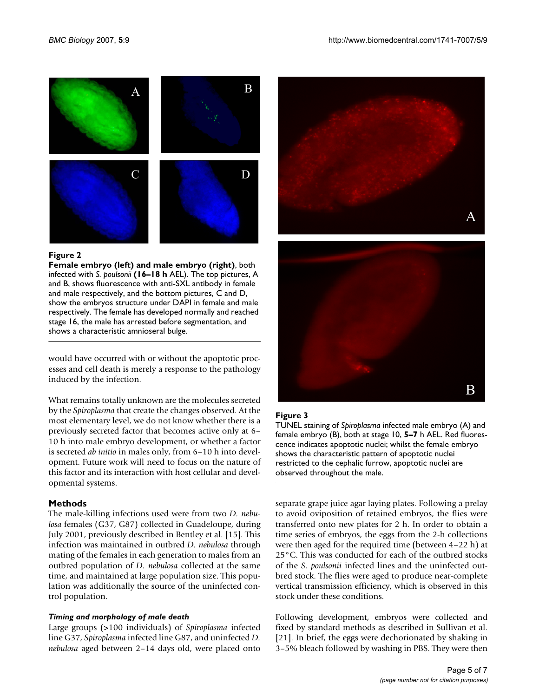

#### Figure 2

**Female embryo (left) and male embryo (right)**, both infected with *S. poulsonii* **(16–18 h** AEL). The top pictures, A and B, shows fluorescence with anti-SXL antibody in female and male respectively, and the bottom pictures, C and D, show the embryos structure under DAPI in female and male respectively. The female has developed normally and reached stage 16, the male has arrested before segmentation, and shows a characteristic amnioseral bulge.

would have occurred with or without the apoptotic processes and cell death is merely a response to the pathology induced by the infection.

What remains totally unknown are the molecules secreted by the *Spiroplasma* that create the changes observed. At the most elementary level, we do not know whether there is a previously secreted factor that becomes active only at 6– 10 h into male embryo development, or whether a factor is secreted *ab initio* in males only, from 6–10 h into development. Future work will need to focus on the nature of this factor and its interaction with host cellular and developmental systems.

# **Methods**

The male-killing infections used were from two *D. nebulosa* females (G37, G87) collected in Guadeloupe, during July 2001, previously described in Bentley et al. [15]. This infection was maintained in outbred *D. nebulosa* through mating of the females in each generation to males from an outbred population of *D. nebulosa* collected at the same time, and maintained at large population size. This population was additionally the source of the uninfected control population.

# *Timing and morphology of male death*

Large groups (>100 individuals) of *Spiroplasma* infected line G37, *Spiroplasma* infected line G87, and uninfected *D. nebulosa* aged between 2–14 days old, were placed onto



# **Figure 3**

TUNEL staining of *Spiroplasma* infected male embryo (A) and female embryo (B), both at stage 10, **5–7** h AEL. Red fluorescence indicates apoptotic nuclei; whilst the female embryo shows the characteristic pattern of apoptotic nuclei restricted to the cephalic furrow, apoptotic nuclei are observed throughout the male.

separate grape juice agar laying plates. Following a prelay to avoid oviposition of retained embryos, the flies were transferred onto new plates for 2 h. In order to obtain a time series of embryos, the eggs from the 2-h collections were then aged for the required time (between 4–22 h) at 25°C. This was conducted for each of the outbred stocks of the *S. poulsonii* infected lines and the uninfected outbred stock. The flies were aged to produce near-complete vertical transmission efficiency, which is observed in this stock under these conditions.

Following development, embryos were collected and fixed by standard methods as described in Sullivan et al. [21]. In brief, the eggs were dechorionated by shaking in 3–5% bleach followed by washing in PBS. They were then

B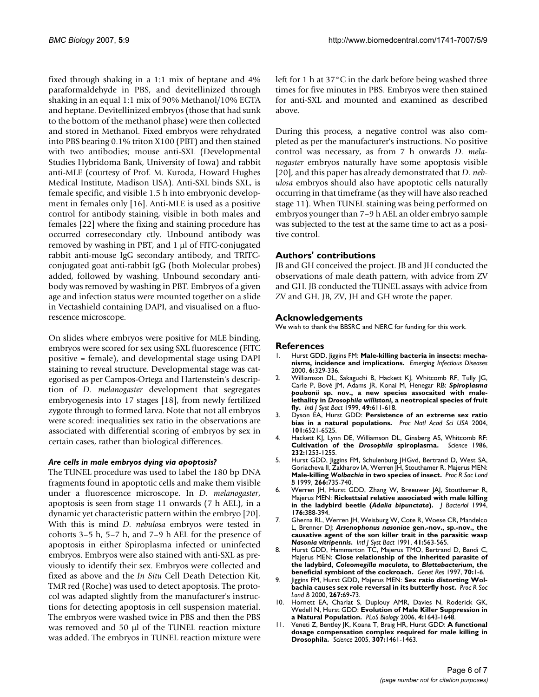fixed through shaking in a 1:1 mix of heptane and 4% paraformaldehyde in PBS, and devitellinized through shaking in an equal 1:1 mix of 90% Methanol/10% EGTA and heptane. Devitellinized embryos (those that had sunk to the bottom of the methanol phase) were then collected and stored in Methanol. Fixed embryos were rehydrated into PBS bearing 0.1% triton X100 (PBT) and then stained with two antibodies; mouse anti-SXL (Developmental Studies Hybridoma Bank, University of Iowa) and rabbit anti-MLE (courtesy of Prof. M. Kuroda, Howard Hughes Medical Institute, Madison USA). Anti-SXL binds SXL, is female specific, and visible 1.5 h into embryonic development in females only [16]. Anti-MLE is used as a positive control for antibody staining, visible in both males and females [22] where the fixing and staining procedure has occurred corresecondary ctly. Unbound antibody was removed by washing in PBT, and 1 μl of FITC-conjugated rabbit anti-mouse IgG secondary antibody, and TRITCconjugated goat anti-rabbit IgG (both Molecular probes) added, followed by washing. Unbound secondary antibody was removed by washing in PBT. Embryos of a given age and infection status were mounted together on a slide in Vectashield containing DAPI, and visualised on a fluorescence microscope.

On slides where embryos were positive for MLE binding, embryos were scored for sex using SXL fluorescence (FITC positive = female), and developmental stage using DAPI staining to reveal structure. Developmental stage was categorised as per Campos-Ortega and Hartenstein's description of *D. melanogaster* development that segregates embryogenesis into 17 stages [18], from newly fertilized zygote through to formed larva. Note that not all embryos were scored: inequalities sex ratio in the observations are associated with differential scoring of embryos by sex in certain cases, rather than biological differences.

#### *Are cells in male embryos dying via apoptosis?*

The TUNEL procedure was used to label the 180 bp DNA fragments found in apoptotic cells and make them visible under a fluorescence microscope. In *D. melanogaster*, apoptosis is seen from stage 11 onwards (7 h AEL), in a dynamic yet characteristic pattern within the embryo [\[20](#page-6-0)]. With this is mind *D. nebulosa* embryos were tested in cohorts 3–5 h, 5–7 h, and 7–9 h AEL for the presence of apoptosis in either Spiroplasma infected or uninfected embryos. Embryos were also stained with anti-SXL as previously to identify their sex. Embryos were collected and fixed as above and the *In Situ* Cell Death Detection Kit, TMR red (Roche) was used to detect apoptosis. The protocol was adapted slightly from the manufacturer's instructions for detecting apoptosis in cell suspension material. The embryos were washed twice in PBS and then the PBS was removed and 50 μl of the TUNEL reaction mixture was added. The embryos in TUNEL reaction mixture were left for 1 h at 37°C in the dark before being washed three times for five minutes in PBS. Embryos were then stained for anti-SXL and mounted and examined as described above.

During this process, a negative control was also completed as per the manufacturer's instructions. No positive control was necessary, as from 7 h onwards *D. melanogaster* embryos naturally have some apoptosis visible [[20](#page-6-0)], and this paper has already demonstrated that *D. nebulosa* embryos should also have apoptotic cells naturally occurring in that timeframe (as they will have also reached stage 11). When TUNEL staining was being performed on embryos younger than 7–9 h AEL an older embryo sample was subjected to the test at the same time to act as a positive control.

# **Authors' contributions**

JB and GH conceived the project. JB and JH conducted the observations of male death pattern, with advice from ZV and GH. JB conducted the TUNEL assays with advice from ZV and GH. JB, ZV, JH and GH wrote the paper.

# **Acknowledgements**

We wish to thank the BBSRC and NERC for funding for this work.

#### **References**

- 1. Hurst GDD, Jiggins FM: **[Male-killing bacteria in insects: mecha](http://www.ncbi.nlm.nih.gov/entrez/query.fcgi?cmd=Retrieve&db=PubMed&dopt=Abstract&list_uids=10905965)[nisms, incidence and implications.](http://www.ncbi.nlm.nih.gov/entrez/query.fcgi?cmd=Retrieve&db=PubMed&dopt=Abstract&list_uids=10905965)** *Emerging Infectious Diseases* 2000, **6:**329-336.
- 2. Williamson DL, Sakaguchi B, Hackett KJ, Whitcomb RF, Tully JG, Carle P, Bové JM, Adams JR, Konai M, Henegar RB: *Spiroplasma poulsonii* **sp. nov., a new species assocaited with malelethality in** *Drosophila willistoni***, a neotropical species of fruit fly.** *Intl J Syst Bact* 1999, **49:**611-618.
- 3. Dyson EA, Hurst GDD: **Persistence of an extreme sex ratio bias in a natural populations.** *Proc Natl Acad Sci USA* 2004, **101:**6521-6525.
- 4. Hackett KJ, Lynn DE, Williamson DL, Ginsberg AS, Whitcomb RF:<br>**Cultivation of the Drosobhila spiroplasma.** Science 1986. **Cultivation of the Drosophila spiroplasma. 232:**1253-1255.
- 5. Hurst GDD, Jiggins FM, Schulenburg JHGvd, Bertrand D, West SA, Goriacheva II, Zakharov IA, Werren JH, Stouthamer R, Majerus MEN: **Male-killing** *Wolbachia* **in two species of insect.** *Proc R Soc Lond B* 1999, **266:**735-740.
- 6. Werren JH, Hurst GDD, Zhang W, Breeuwer JAJ, Stouthamer R, Majerus MEN: **Rickettsial relative associated with male killing in the ladybird beetle (***Adalia bipunctata***[\).](http://www.ncbi.nlm.nih.gov/entrez/query.fcgi?cmd=Retrieve&db=PubMed&dopt=Abstract&list_uids=8288533)** *J Bacteriol* 1994, **176:**388-394.
- 7. Gherna RL, Werren JH, Weisburg W, Cote R, Woese CR, Mandelco L, Brenner DJ: *Arsenophonus nasoniae* **gen.-nov., sp.-nov., the causative agent of the son killer trait in the parasitic wasp** *Nasonia vitripennis***.** *Intl J Syst Bact* 1991, **41:**563-565.
- Hurst GDD, Hammarton TC, Majerus TMO, Bertrand D, Bandi C, Majerus MEN: **Close relationship of the inherited parasite of the ladybird,** *Coleomegilla maculata***, to** *Blattabacterium***, the beneficial symbiont of the cockroach.** *Genet Res* 1997, **70:**1-6.
- 9. Jiggins FM, Hurst GDD, Majerus MEN: **Sex ratio distorting Wolbachia causes sex role reversal in its butterfly host.** *Proc R Soc Lond B* 2000, **267:**69-73.
- 10. Hornett EA, Charlat S, Duplouy AMR, Davies N, Roderick GK, Wedell N, Hurst GDD: **Evolution of Male Killer Suppression in a Natural Population.** *PLoS Biology* 2006, **4:**1643-1648.
- 11. Veneti Z, Bentley JK, Koana T, Braig HR, Hurst GDD: **[A functional](http://www.ncbi.nlm.nih.gov/entrez/query.fcgi?cmd=Retrieve&db=PubMed&dopt=Abstract&list_uids=15746426) [dosage compensation complex required for male killing in](http://www.ncbi.nlm.nih.gov/entrez/query.fcgi?cmd=Retrieve&db=PubMed&dopt=Abstract&list_uids=15746426) [Drosophila.](http://www.ncbi.nlm.nih.gov/entrez/query.fcgi?cmd=Retrieve&db=PubMed&dopt=Abstract&list_uids=15746426)** *Science* 2005, **307:**1461-1463.